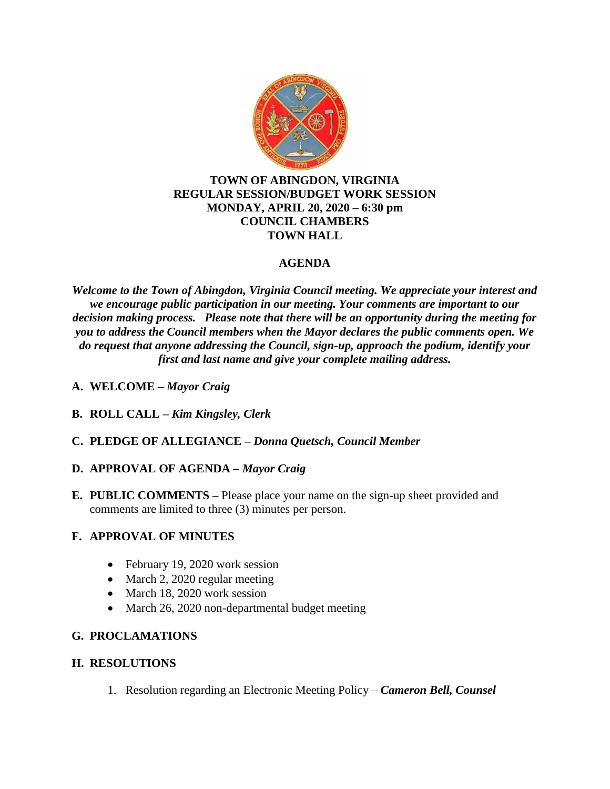

### **TOWN OF ABINGDON, VIRGINIA REGULAR SESSION/BUDGET WORK SESSION MONDAY, APRIL 20, 2020 – 6:30 pm COUNCIL CHAMBERS TOWN HALL**

# **AGENDA**

*Welcome to the Town of Abingdon, Virginia Council meeting. We appreciate your interest and we encourage public participation in our meeting. Your comments are important to our decision making process. Please note that there will be an opportunity during the meeting for you to address the Council members when the Mayor declares the public comments open. We do request that anyone addressing the Council, sign-up, approach the podium, identify your first and last name and give your complete mailing address.*

- **A. WELCOME –** *Mayor Craig*
- **B. ROLL CALL –** *Kim Kingsley, Clerk*
- **C. PLEDGE OF ALLEGIANCE –** *Donna Quetsch, Council Member*

### **D. APPROVAL OF AGENDA –** *Mayor Craig*

**E. PUBLIC COMMENTS –** Please place your name on the sign-up sheet provided and comments are limited to three (3) minutes per person.

### **F. APPROVAL OF MINUTES**

- February 19, 2020 work session
- March 2, 2020 regular meeting
- March 18, 2020 work session
- March 26, 2020 non-departmental budget meeting

# **G. PROCLAMATIONS**

### **H. RESOLUTIONS**

1. Resolution regarding an Electronic Meeting Policy – *Cameron Bell, Counsel*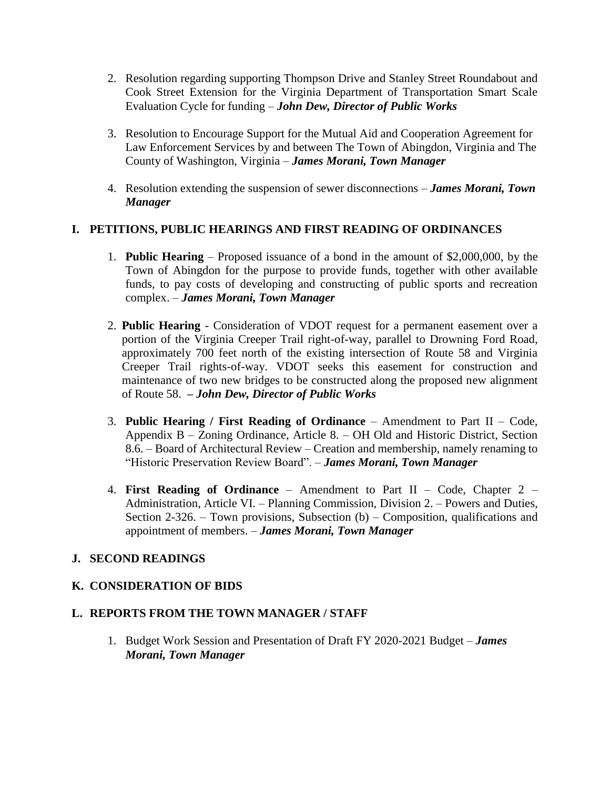- 2. Resolution regarding supporting Thompson Drive and Stanley Street Roundabout and Cook Street Extension for the Virginia Department of Transportation Smart Scale Evaluation Cycle for funding – *John Dew, Director of Public Works*
- 3. Resolution to Encourage Support for the Mutual Aid and Cooperation Agreement for Law Enforcement Services by and between The Town of Abingdon, Virginia and The County of Washington, Virginia – *James Morani, Town Manager*
- 4. Resolution extending the suspension of sewer disconnections *James Morani, Town Manager*

### **I. PETITIONS, PUBLIC HEARINGS AND FIRST READING OF ORDINANCES**

- 1. **Public Hearing**  Proposed issuance of a bond in the amount of \$2,000,000, by the Town of Abingdon for the purpose to provide funds, together with other available funds, to pay costs of developing and constructing of public sports and recreation complex. – *James Morani, Town Manager*
- 2. **Public Hearing** Consideration of VDOT request for a permanent easement over a portion of the Virginia Creeper Trail right-of-way, parallel to Drowning Ford Road, approximately 700 feet north of the existing intersection of Route 58 and Virginia Creeper Trail rights-of-way. VDOT seeks this easement for construction and maintenance of two new bridges to be constructed along the proposed new alignment of Route 58. **–** *John Dew, Director of Public Works*
- 3. **Public Hearing / First Reading of Ordinance** Amendment to Part II Code, Appendix B – Zoning Ordinance, Article 8. – OH Old and Historic District, Section 8.6. – Board of Architectural Review – Creation and membership, namely renaming to "Historic Preservation Review Board". – *James Morani, Town Manager*
- 4. **First Reading of Ordinance** Amendment to Part II Code, Chapter 2 Administration, Article VI. – Planning Commission, Division 2. – Powers and Duties, Section 2-326. – Town provisions, Subsection  $(b)$  – Composition, qualifications and appointment of members. – *James Morani, Town Manager*

### **J. SECOND READINGS**

### **K. CONSIDERATION OF BIDS**

#### **L. REPORTS FROM THE TOWN MANAGER / STAFF**

1. Budget Work Session and Presentation of Draft FY 2020-2021 Budget – *James Morani, Town Manager*